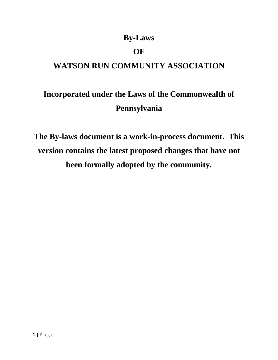# **By-Laws**

# **OF**

# **WATSON RUN COMMUNITY ASSOCIATION**

# **Incorporated under the Laws of the Commonwealth of Pennsylvania**

**The By-laws document is a work-in-process document. This version contains the latest proposed changes that have not been formally adopted by the community.**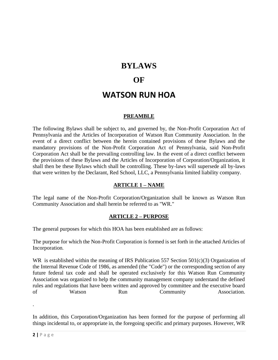### **BYLAWS**

### **OF**

# **WATSON RUN HOA**

#### **PREAMBLE**

The following Bylaws shall be subject to, and governed by, the Non-Profit Corporation Act of Pennsylvania and the Articles of Incorporation of Watson Run Community Association. In the event of a direct conflict between the herein contained provisions of these Bylaws and the mandatory provisions of the Non-Profit Corporation Act of Pennsylvania, said Non-Profit Corporation Act shall be the prevailing controlling law. In the event of a direct conflict between the provisions of these Bylaws and the Articles of Incorporation of Corporation/Organization, it shall then be these Bylaws which shall be controlling. These by-laws will supersede all by-laws that were written by the Declarant, Red School, LLC, a Pennsylvania limited liability company.

#### **ARTICLE 1 – NAME**

The legal name of the Non-Profit Corporation/Organization shall be known as Watson Run Community Association and shall herein be referred to as "WR."

#### **ARTICLE 2 – PURPOSE**

The general purposes for which this HOA has been established are as follows:

The purpose for which the Non-Profit Corporation is formed is set forth in the attached Articles of Incorporation.

WR is established within the meaning of IRS Publication 557 Section 501(c)(3) Organization of the Internal Revenue Code of 1986, as amended (the "Code") or the corresponding section of any future federal tax code and shall be operated exclusively for this Watson Run Community Association was organized to help the community management company understand the defined rules and regulations that have been written and approved by committee and the executive board of Watson Run Community Association.

In addition, this Corporation/Organization has been formed for the purpose of performing all things incidental to, or appropriate in, the foregoing specific and primary purposes. However, WR

.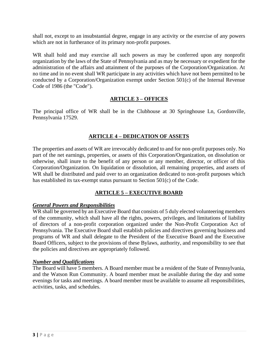shall not, except to an insubstantial degree, engage in any activity or the exercise of any powers which are not in furtherance of its primary non-profit purposes.

WR shall hold and may exercise all such powers as may be conferred upon any nonprofit organization by the laws of the State of Pennsylvania and as may be necessary or expedient for the administration of the affairs and attainment of the purposes of the Corporation/Organization. At no time and in no event shall WR participate in any activities which have not been permitted to be conducted by a Corporation/Organization exempt under Section 501(c) of the Internal Revenue Code of 1986 (the "Code").

#### **ARTICLE 3 – OFFICES**

The principal office of WR shall be in the Clubhouse at 30 Springhouse Ln, Gordonville, Pennsylvania 17529.

#### **ARTICLE 4 – DEDICATION OF ASSETS**

The properties and assets of WR are irrevocably dedicated to and for non-profit purposes only. No part of the net earnings, properties, or assets of this Corporation/Organization, on dissolution or otherwise, shall inure to the benefit of any person or any member, director, or officer of this Corporation/Organization. On liquidation or dissolution, all remaining properties, and assets of WR shall be distributed and paid over to an organization dedicated to non-profit purposes which has established its tax-exempt status pursuant to Section 501(c) of the Code.

#### **ARTICLE 5 – EXECUTIVE BOARD**

#### *General Powers and Responsibilities*

WR shall be governed by an Executive Board that consists of 5 duly elected volunteering members of the community, which shall have all the rights, powers, privileges, and limitations of liability of directors of a non-profit corporation organized under the Non-Profit Corporation Act of Pennsylvania. The Executive Board shall establish policies and directives governing business and programs of WR and shall delegate to the President of the Executive Board and the Executive Board Officers, subject to the provisions of these Bylaws, authority, and responsibility to see that the policies and directives are appropriately followed.

#### *Number and Qualifications*

The Board will have 5 members. A Board member must be a resident of the State of Pennsylvania, and the Watson Run Community. A board member must be available during the day and some evenings for tasks and meetings. A board member must be available to assume all responsibilities, activities, tasks, and schedules.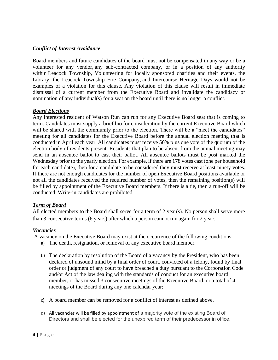#### *Conflict of Interest Avoidance*

Board members and future candidates of the board must not be compensated in any way or be a volunteer for any vendor, any sub-contracted company, or in a position of any authority within Leacock Township, Volunteering for locally sponsored charities and their events, the Library, the Leacock Township Fire Company, and Intercourse Heritage Days would not be examples of a violation for this clause. Any violation of this clause will result in immediate dismissal of a current member from the Executive Board and invalidate the candidacy or nomination of any individual(s) for a seat on the board until there is no longer a conflict.

#### *Board Elections*

Any interested resident of Watson Run can run for any Executive Board seat that is coming to term. Candidates must supply a brief bio for consideration by the current Executive Board which will be shared with the community prior to the election. There will be a "meet the candidates" meeting for all candidates for the Executive Board before the annual election meeting that is conducted in April each year. All candidates must receive 50% plus one vote of the quorum of the election body of residents present. Residents that plan to be absent from the annual meeting may send in an absentee ballot to cast their ballot. All absentee ballots must be post marked the Wednesday prior to the yearly election. For example, if there are 178 votes cast (one per household for each candidate), then for a candidate to be considered they must receive at least ninety votes. If there are not enough candidates for the number of open Executive Board positions available or not all the candidates received the required number of votes, then the remaining position(s) will be filled by appointment of the Executive Board members. If there is a tie, then a run-off will be conducted. Write-in candidates are prohibited.

#### *Term of Board*

All elected members to the Board shall serve for a term of 2 year(s). No person shall serve more than 3 consecutive terms (6 years) after which a person cannot run again for 2 years.

#### *Vacancies*

A vacancy on the Executive Board may exist at the occurrence of the following conditions:

- a) The death, resignation, or removal of any executive board member.
- b) The declaration by resolution of the Board of a vacancy by the President, who has been declared of unsound mind by a final order of court, convicted of a felony, found by final order or judgment of any court to have breached a duty pursuant to the Corporation Code and/or Act of the law dealing with the standards of conduct for an executive board member, or has missed 3 consecutive meetings of the Executive Board, or a total of 4 meetings of the Board during any one calendar year;
- c) A board member can be removed for a conflict of interest as defined above.
- d) All vacancies will be filled by appointment of a majority vote of the existing Board of Directors and shall be elected for the unexpired term of their predecessor in office.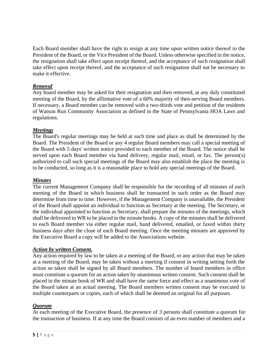Each Board member shall have the right to resign at any time upon written notice thereof to the President of the Board, or the Vice President of the Board. Unless otherwise specified in the notice, the resignation shall take effect upon receipt thereof, and the acceptance of such resignation shall take effect upon receipt thereof, and the acceptance of such resignation shall not be necessary to make it effective.

#### *Removal*

Any board member may be asked for their resignation and then removed, at any duly constituted meeting of the Board, by the affirmative vote of a 60% majority of then-serving Board members. If necessary, a Board member can be removed with a two-thirds vote and petition of the residents of Watson Run Community Association as defined in the State of Pennsylvania HOA Laws and regulations.

#### *Meetings*

The Board's regular meetings may be held at such time and place as shall be determined by the Board. The President of the Board or any 4 regular Board members may call a special meeting of the Board with 5 days' written notice provided to each member of the Board. The notice shall be served upon each Board member via hand delivery, regular mail, email, or fax. The person(s) authorized to call such special meetings of the Board may also establish the place the meeting is to be conducted, so long as it is a reasonable place to hold any special meetings of the Board.

#### *Minutes*

The current Management Company shall be responsible for the recording of all minutes of each meeting of the Board in which business shall be transacted in such order as the Board may determine from time to time. However, if the Management Company is unavailable, the President of the Board shall appoint an individual to function as Secretary at the meeting. The Secretary, or the individual appointed to function as Secretary, shall prepare the minutes of the meetings, which shall be delivered to WR to be placed in the minute books. A copy of the minutes shall be delivered to each Board member via either regular mail, hand delivered, emailed, or faxed within thirty business days after the close of each Board meeting. Once the meeting minutes are approved by the Executive Board a copy will be added to the Associations website.

#### *Action by written Consent.*

Any action required by law to be taken at a meeting of the Board, or any action that may be taken at a meeting of the Board, may be taken without a meeting if consent in writing setting forth the action so taken shall be signed by all Board members. The number of board members in office must constitute a quorum for an action taken by unanimous written consent. Such consent shall be placed in the minute book of WR and shall have the same force and effect as a unanimous vote of the Board taken at an actual meeting. The Board members written consent may be executed in multiple counterparts or copies, each of which shall be deemed an original for all purposes.

#### *Quorum*

At each meeting of the Executive Board, the presence of 3 persons shall constitute a quorum for the transaction of business. If at any time the Board consists of an even number of members and a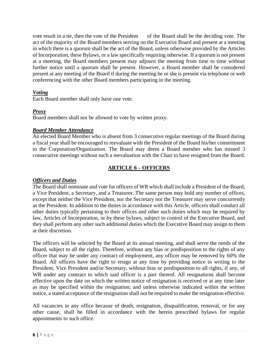vote result in a tie, then the vote of the President of the Board shall be the deciding vote. The act of the majority of the Board members serving on the Executive Board and present at a meeting in which there is a quorum shall be the act of the Board, unless otherwise provided by the Articles of Incorporation, these Bylaws, or a law specifically requiring otherwise. If a quorum is not present at a meeting, the Board members present may adjourn the meeting from time to time without further notice until a quorum shall be present. However, a Board member shall be considered present at any meeting of the Board if during the meeting he or she is present via telephone or web conferencing with the other Board members participating in the meeting.

#### *Voting*

Each Board member shall only have one vote.

#### *Proxy*

Board members shall not be allowed to vote by written proxy.

#### *Board Member Attendance*

An elected Board Member who is absent from 3 consecutive regular meetings of the Board during a fiscal year shall be encouraged to reevaluate with the President of the Board his/her commitment to the Corporation/Organization. The Board may deem a Board member who has missed 3 consecutive meetings without such a reevaluation with the Chair to have resigned from the Board.

#### **ARTICLE 6 – OFFICERS**

#### *Officers and Duties*

The Board shall nominate and vote for officers of WR which shall include a President of the Board, a Vice President, a Secretary, and a Treasurer. The same person may hold any number of offices, except that neither the Vice President, nor the Secretary nor the Treasurer may serve concurrently as the President. In addition to the duties in accordance with this Article, officers shall conduct all other duties typically pertaining to their offices and other such duties which may be required by law, Articles of Incorporation, or by these bylaws, subject to control of the Executive Board, and they shall perform any other such additional duties which the Executive Board may assign to them at their discretion.

The officers will be selected by the Board at its annual meeting, and shall serve the needs of the Board, subject to all the rights. Therefore, without any bias or predisposition to the rights of any officer that may be under any contract of employment, any officer may be removed by 60% the Board. All officers have the right to resign at any time by providing notice in writing to the President, Vice President and/or Secretary, without bias or predisposition to all rights, if any, of WR under any contract to which said officer is a part thereof. All resignations shall become effective upon the date on which the written notice of resignation is received or at any time later as may be specified within the resignation; and unless otherwise indicated within the written notice, a stated acceptance of the resignation shall not be required to make the resignation effective.

All vacancies in any office because of death, resignation, disqualification, removal, or for any other cause, shall be filled in accordance with the herein prescribed bylaws for regular appointments to such office.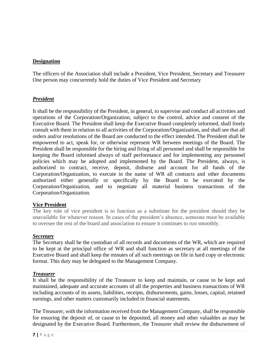#### **Designation**

The officers of the Association shall include a President, Vice President, Secretary and Treasurer One person may concurrently hold the duties of Vice President and Secretary

#### *President*

It shall be the responsibility of the President, in general, to supervise and conduct all activities and operations of the Corporation/Organization, subject to the control, advice and consent of the Executive Board. The President shall keep the Executive Board completely informed, shall freely consult with them in relation to all activities of the Corporation/Organization, and shall see that all orders and/or resolutions of the Board are conducted to the effect intended. The President shall be empowered to act, speak for, or otherwise represent WR between meetings of the Board. The President shall be responsible for the hiring and firing of all personnel and shall be responsible for keeping the Board informed always of staff performance and for implementing any personnel policies which may be adopted and implemented by the Board. The President, always, is authorized to contract, receive, deposit, disburse and account for all funds of the Corporation/Organization, to execute in the name of WR all contracts and other documents authorized either generally or specifically by the Board to be executed by the Corporation/Organization, and to negotiate all material business transactions of the Corporation/Organization.

#### **Vice President**

The key role of vice president is to function as a substitute for the president should they be unavailable for whatever reason. In cases of the president's absence, someone must be available to oversee the rest of the board and association to ensure it continues to run smoothly.

#### *Secretary*

The Secretary shall be the custodian of all records and documents of the WR, which are required to be kept at the principal office of WR and shall function as secretary at all meetings of the Executive Board and shall keep the minutes of all such meetings on file in hard copy or electronic format. This duty may be delegated to the Management Company.

#### *Treasurer*

It shall be the responsibility of the Treasurer to keep and maintain, or cause to be kept and maintained, adequate and accurate accounts of all the properties and business transactions of WR including accounts of its assets, liabilities, receipts, disbursements, gains, losses, capital, retained earnings, and other matters customarily included in financial statements.

The Treasurer, with the information received from the Management Company, shall be responsible for ensuring the deposit of, or cause to be deposited, all money and other valuables as may be designated by the Executive Board. Furthermore, the Treasurer shall review the disbursement of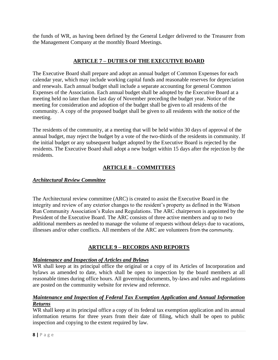the funds of WR, as having been defined by the General Ledger delivered to the Treasurer from the Management Company at the monthly Board Meetings.

#### **ARTICLE 7 – DUTIES OF THE EXECUTIVE BOARD**

The Executive Board shall prepare and adopt an annual budget of Common Expenses for each calendar year, which may include working capital funds and reasonable reserves for depreciation and renewals. Each annual budget shall include a separate accounting for general Common Expenses of the Association. Each annual budget shall be adopted by the Executive Board at a meeting held no later than the last day of November preceding the budget year. Notice of the meeting for consideration and adoption of the budget shall be given to all residents of the community. A copy of the proposed budget shall be given to all residents with the notice of the meeting.

The residents of the community, at a meeting that will be held within 30 days of approval of the annual budget, may reject the budget by a vote of the two-thirds of the residents in community. If the initial budget or any subsequent budget adopted by the Executive Board is rejected by the residents. The Executive Board shall adopt a new budget within 15 days after the rejection by the residents.

#### **ARTICLE 8 – COMMITTEES**

#### *Architectural Review Committee*

The Architectural review committee (ARC) is created to assist the Executive Board in the integrity and review of any exterior changes to the resident's property as defined in the Watson Run Community Association's Rules and Regulations. The ARC chairperson is appointed by the President of the Executive Board. The ARC consists of three active members and up to two additional members as needed to manage the volume of requests without delays due to vacations, illnesses and/or other conflicts. All members of the ARC are volunteers from the community.

#### **ARTICLE 9 – RECORDS AND REPORTS**

#### *Maintenance and Inspection of Articles and Bylaws*

WR shall keep at its principal office the original or a copy of its Articles of Incorporation and bylaws as amended to date, which shall be open to inspection by the board members at all reasonable times during office hours. All governing documents, by-laws and rules and regulations are posted on the community website for review and reference.

#### *Maintenance and Inspection of Federal Tax Exemption Application and Annual Information Returns*

WR shall keep at its principal office a copy of its federal tax exemption application and its annual information returns for three years from their date of filing, which shall be open to public inspection and copying to the extent required by law.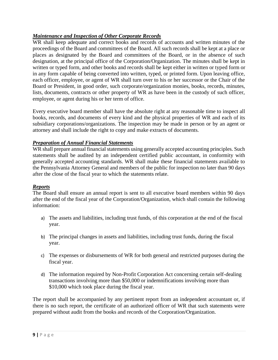#### *Maintenance and Inspection of Other Corporate Records*

WR shall keep adequate and correct books and records of accounts and written minutes of the proceedings of the Board and committees of the Board. All such records shall be kept at a place or places as designated by the Board and committees of the Board, or in the absence of such designation, at the principal office of the Corporation/Organization. The minutes shall be kept in written or typed form, and other books and records shall be kept either in written or typed form or in any form capable of being converted into written, typed, or printed form. Upon leaving office, each officer, employee, or agent of WR shall turn over to his or her successor or the Chair of the Board or President, in good order, such corporate/organization monies, books, records, minutes, lists, documents, contracts or other property of WR as have been in the custody of such officer, employee, or agent during his or her term of office.

Every executive board member shall have the absolute right at any reasonable time to inspect all books, records, and documents of every kind and the physical properties of WR and each of its subsidiary corporations/organizations. The inspection may be made in person or by an agent or attorney and shall include the right to copy and make extracts of documents.

#### *Preparation of Annual Financial Statements*

WR shall prepare annual financial statements using generally accepted accounting principles. Such statements shall be audited by an independent certified public accountant, in conformity with generally accepted accounting standards. WR shall make these financial statements available to the Pennsylvania Attorney General and members of the public for inspection no later than 90 days after the close of the fiscal year to which the statements relate.

#### *Reports*

The Board shall ensure an annual report is sent to all executive board members within 90 days after the end of the fiscal year of the Corporation/Organization, which shall contain the following information:

- a) The assets and liabilities, including trust funds, of this corporation at the end of the fiscal year.
- b) The principal changes in assets and liabilities, including trust funds, during the fiscal year.
- c) The expenses or disbursements of WR for both general and restricted purposes during the fiscal year.
- d) The information required by Non-Profit Corporation Act concerning certain self-dealing transactions involving more than \$50,000 or indemnifications involving more than \$10,000 which took place during the fiscal year.

The report shall be accompanied by any pertinent report from an independent accountant or, if there is no such report, the certificate of an authorized officer of WR that such statements were prepared without audit from the books and records of the Corporation/Organization.